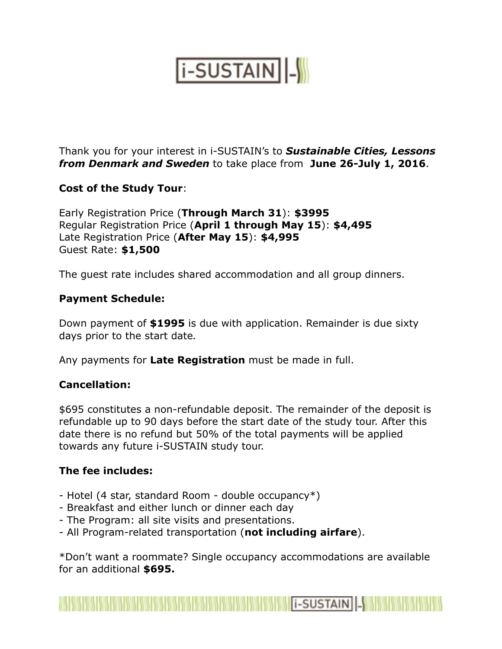# **i-SUSTAIN**

Thank you for your interest in i-SUSTAIN's to *Sustainable Cities, Lessons from Denmark and Sweden* to take place from **June 26-July 1, 2016**.

### **Cost of the Study Tour**:

Early Registration Price (**Through March 31**): **\$3995** Regular Registration Price (**April 1 through May 15**): **\$4,495** Late Registration Price (**After May 15**): **\$4,995** Guest Rate: **\$1,500** 

The guest rate includes shared accommodation and all group dinners.

### **Payment Schedule:**

Down payment of **\$1995** is due with application. Remainder is due sixty days prior to the start date*.* 

Any payments for **Late Registration** must be made in full.

#### **Cancellation:**

\$695 constitutes a non-refundable deposit. The remainder of the deposit is refundable up to 90 days before the start date of the study tour. After this date there is no refund but 50% of the total payments will be applied towards any future i-SUSTAIN study tour.

#### **The fee includes:**

- Hotel (4 star, standard Room double occupancy\*)
- Breakfast and either lunch or dinner each day
- The Program: all site visits and presentations.
- All Program-related transportation (**not including airfare**).

\*Don't want a roommate? Single occupancy accommodations are available for an additional **\$695.**

**Market Allen (2003)** And the Market Allen (2003) and the SUSTAIN **Allen (2003)**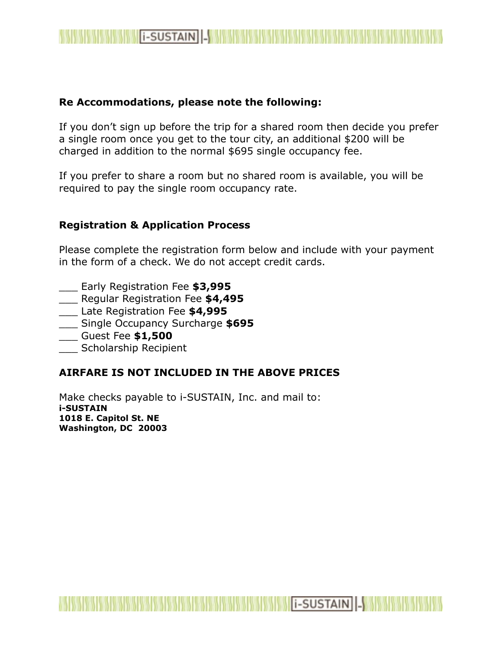

#### **Re Accommodations, please note the following:**

If you don't sign up before the trip for a shared room then decide you prefer a single room once you get to the tour city, an additional \$200 will be charged in addition to the normal \$695 single occupancy fee.

If you prefer to share a room but no shared room is available, you will be required to pay the single room occupancy rate.

#### **Registration & Application Process**

Please complete the registration form below and include with your payment in the form of a check. We do not accept credit cards.

I -SUSTAIN |-

- \_\_\_ Early Registration Fee **\$3,995**
- \_\_\_ Regular Registration Fee **\$4,495**
- \_\_\_ Late Registration Fee **\$4,995**
- \_\_\_ Single Occupancy Surcharge **\$695**
- \_\_\_ Guest Fee **\$1,500**
- \_\_\_ Scholarship Recipient

### **AIRFARE IS NOT INCLUDED IN THE ABOVE PRICES**

Make checks payable to i-SUSTAIN, Inc. and mail to: **i-SUSTAIN 1018 E. Capitol St. NE Washington, DC 20003**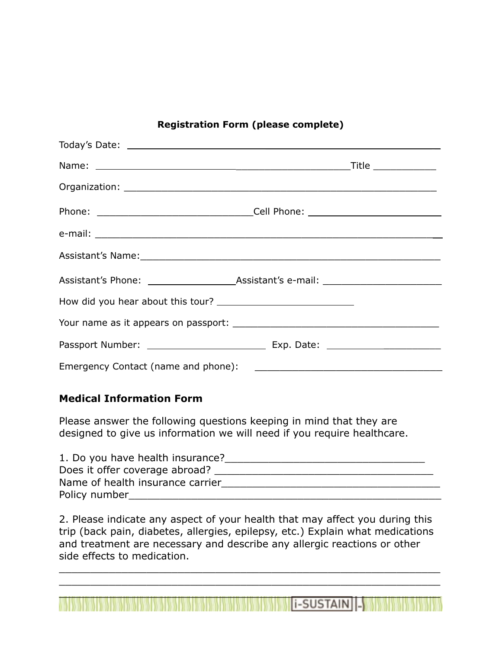#### **Registration Form (please complete)**

| Assistant's Name: 1997 - 1998 - 1999 - 1999 - 1999 - 1999 - 1999 - 1999 - 1999 - 1999 - 1999 - 1999 - 1999 - 1 |  |
|----------------------------------------------------------------------------------------------------------------|--|
|                                                                                                                |  |
|                                                                                                                |  |
|                                                                                                                |  |
|                                                                                                                |  |
|                                                                                                                |  |

#### **Medical Information Form**

Please answer the following questions keeping in mind that they are designed to give us information we will need if you require healthcare.

| 1. Do you have health insurance? |
|----------------------------------|
| Does it offer coverage abroad?   |
| Name of health insurance carrier |
| Policy number                    |

2. Please indicate any aspect of your health that may affect you during this trip (back pain, diabetes, allergies, epilepsy, etc.) Explain what medications and treatment are necessary and describe any allergic reactions or other side effects to medication.

\_\_\_\_\_\_\_\_\_\_\_\_\_\_\_\_\_\_\_\_\_\_\_\_\_\_\_\_\_\_\_\_\_\_\_\_\_\_\_\_\_\_\_\_\_\_\_\_\_\_\_\_\_\_\_\_\_\_\_\_\_ \_\_\_\_\_\_\_\_\_\_\_\_\_\_\_\_\_\_\_\_\_\_\_\_\_\_\_\_\_\_\_\_\_\_\_\_\_\_\_\_\_\_\_\_\_\_\_\_\_\_\_\_\_\_\_\_\_\_\_\_\_

 $\mathcal{L}_\mathcal{A}$  , and the set of the set of the set of the set of the set of the set of the set of the set of the set of the set of the set of the set of the set of the set of the set of the set of the set of the set of th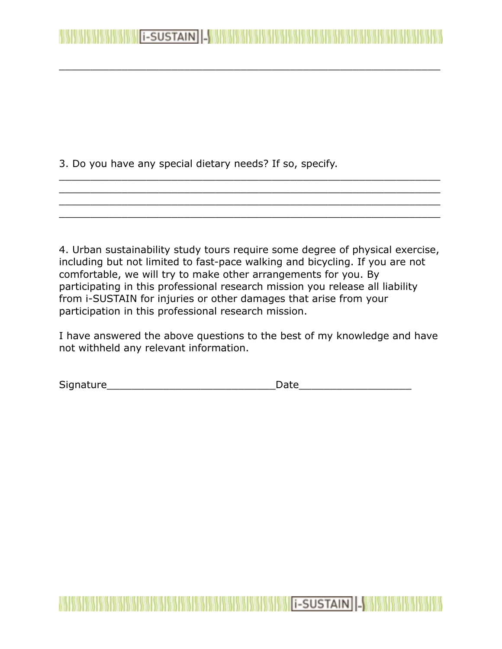3. Do you have any special dietary needs? If so, specify.

4. Urban sustainability study tours require some degree of physical exercise, including but not limited to fast-pace walking and bicycling. If you are not comfortable, we will try to make other arrangements for you. By participating in this professional research mission you release all liability from i-SUSTAIN for injuries or other damages that arise from your participation in this professional research mission.

\_\_\_\_\_\_\_\_\_\_\_\_\_\_\_\_\_\_\_\_\_\_\_\_\_\_\_\_\_\_\_\_\_\_\_\_\_\_\_\_\_\_\_\_\_\_\_\_\_\_\_\_\_\_\_\_\_\_\_\_\_ \_\_\_\_\_\_\_\_\_\_\_\_\_\_\_\_\_\_\_\_\_\_\_\_\_\_\_\_\_\_\_\_\_\_\_\_\_\_\_\_\_\_\_\_\_\_\_\_\_\_\_\_\_\_\_\_\_\_\_\_\_ \_\_\_\_\_\_\_\_\_\_\_\_\_\_\_\_\_\_\_\_\_\_\_\_\_\_\_\_\_\_\_\_\_\_\_\_\_\_\_\_\_\_\_\_\_\_\_\_\_\_\_\_\_\_\_\_\_\_\_\_\_ \_\_\_\_\_\_\_\_\_\_\_\_\_\_\_\_\_\_\_\_\_\_\_\_\_\_\_\_\_\_\_\_\_\_\_\_\_\_\_\_\_\_\_\_\_\_\_\_\_\_\_\_\_\_\_\_\_\_\_\_\_

\_\_\_\_\_\_\_\_\_\_\_\_\_\_\_\_\_\_\_\_\_\_\_\_\_\_\_\_\_\_\_\_\_\_\_\_\_\_\_\_\_\_\_\_\_\_\_\_\_\_\_\_\_\_\_\_\_\_\_\_\_

**EXAMPLE AND RESUSTAIN AND RESIDENCE** 

I have answered the above questions to the best of my knowledge and have not withheld any relevant information.

**THE RESIDENCE OF SUSTAIN AND SET OF SUSTAIN AND SET OF SUSTAIN AND SET OF SUSTAIN AND SET OF SUSTAIN** 

Signature\_\_\_\_\_\_\_\_\_\_\_\_\_\_\_\_\_\_\_\_\_\_\_\_\_\_\_Date\_\_\_\_\_\_\_\_\_\_\_\_\_\_\_\_\_\_